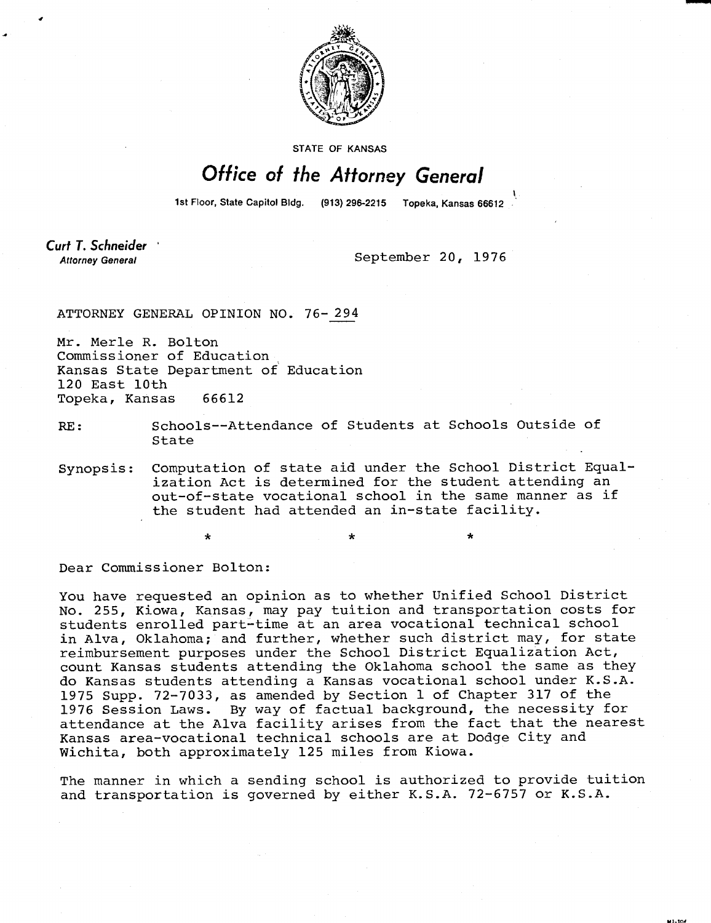

**STATE OF KANSAS** 

## Office of the Attorney General

1st Floor, State Capitol Bidg. (913) 296-2215 Topeka, Kansas 66612

Curt T. Schneider **Attorney General** 

September 20, 1976

ATTORNEY GENERAL OPINION NO. 76-294

Mr. Merle R. Bolton Commissioner of Education Kansas State Department of Education 120 East 10th Topeka, Kansas 66612

## RE: Schools--Attendance of Students at Schools Outside of State

Synopsis: Computation of state aid under the School District Equalization Act is determined for the student attending an out-of-state vocational school in the same manner as if the student had attended an in-state facility.

Dear Commissioner Bolton:

You have requested an opinion as to whether Unified School District No. 255, Kiowa, Kansas, may pay tuition and transportation costs for students enrolled part-time at an area vocational technical school in Alva, Oklahoma; and further, whether such district may, for state reimbursement purposes under the School District Equalization Act, count Kansas students attending the Oklahoma school the same as they do Kansas students attending a Kansas vocational school under K.S.A. 1975 Supp. 72-7033, as amended by Section 1 of Chapter 317 of the 1976 Session Laws. By way of factual background, the necessity for attendance at the Alva facility arises from the fact that the nearest Kansas area-vocational technical schools are at Dodge City and Wichita, both approximately 125 miles from Kiowa.

The manner in which a sending school is authorized to provide tuition and transportation is governed by either K.S.A. 72-6757 or K.S.A.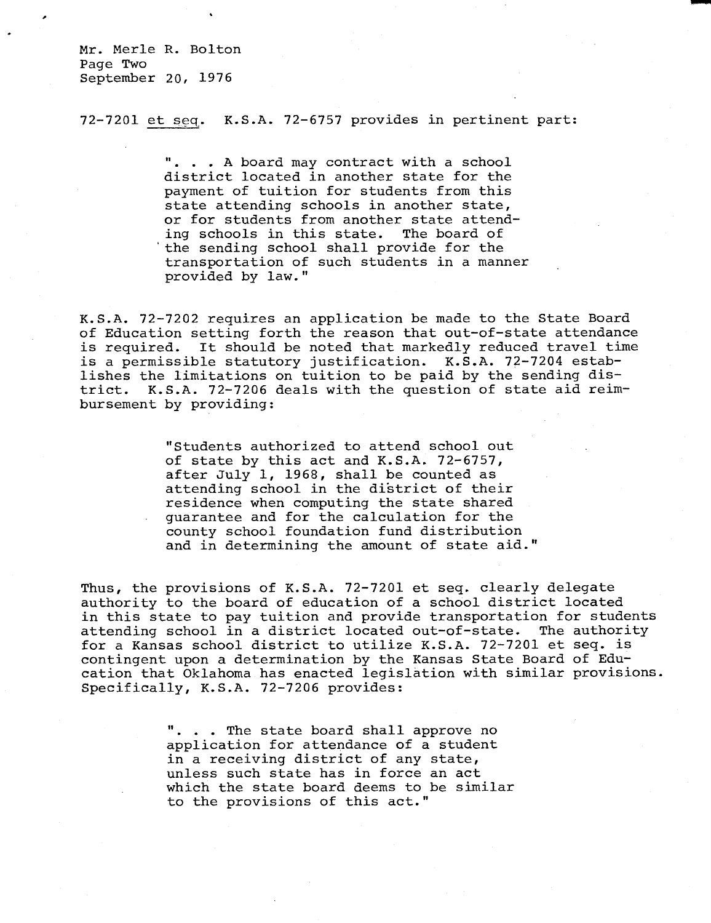Mr. Merle R. Bolton Page Two September 20, 1976

72-7201 et seq. K.S.A. 72-6757 provides in pertinent part:

. . A board may contract with a school district located in another state for the payment of tuition for students from this state attending schools in another state, or for students from another state attending schools in this state. The board of the sending school shall provide for the transportation of such students in a manner provided by law."

K.S.A. 72-7202 requires an application be made to the State Board of Education setting forth the reason that out-of-state attendance is required. It should be noted that markedly reduced travel time is a permissible statutory justification. K.S.A. 72-7204 establishes the limitations on tuition to be paid by the sending district. K.S.A. 72-7206 deals with the question of state aid reimbursement by providing:

> "Students authorized to attend school out of state by this act and K.S.A. 72-6757, after July 1, 1968, shall be counted as attending school in the district of their residence when computing the state shared guarantee and for the calculation for the county school foundation fund distribution and in determining the amount of state aid."

Thus, the provisions of K.S.A. 72-7201 et seq. clearly delegate authority to the board of education of a school district located in this state to pay tuition and provide transportation for students attending school in a district located out-of-state. The authority for a Kansas school district to utilize K.S.A. 72-7201 et seq. is contingent upon a determination by the Kansas State Board of Education that Oklahoma has enacted legislation with similar provisions. Specifically, K.S.A. 72-7206 provides:

> ". . . The state board shall approve no application for attendance of a student in a receiving district of any state, unless such state has in force an act which the state board deems to be similar to the provisions of this act."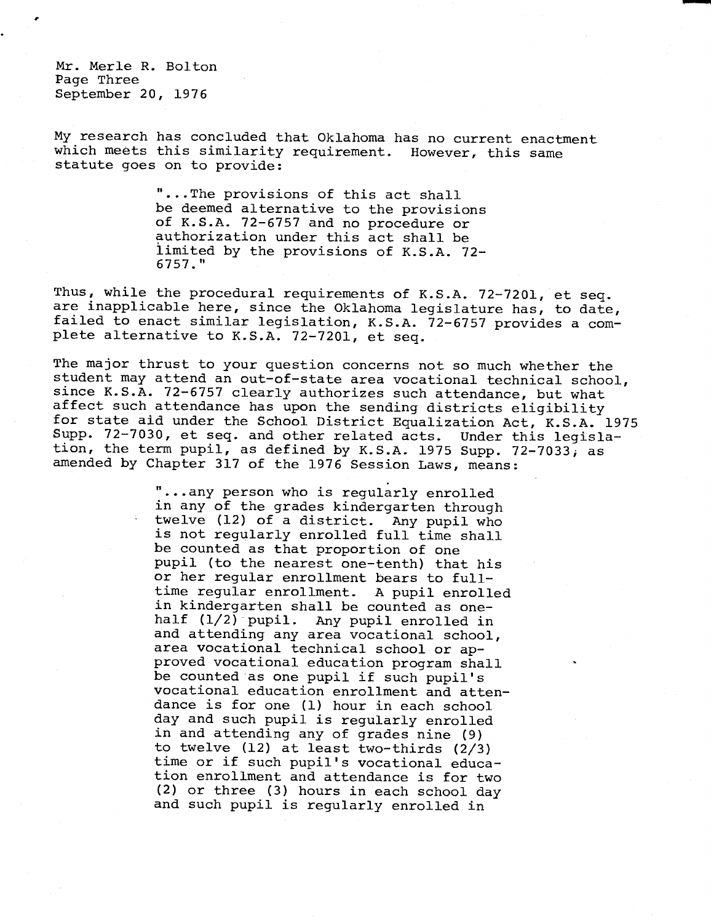Mr. Merle R. Bolton Page Three September 20, 1976

My research has concluded that Oklahoma has no current enactment which meets this similarity requirement. However, this same statute goes on to provide:

> ...The provisions of this act shall be deemed alternative to the provisions of K.S.A. 72-6757 and no procedure or authorization under this act shall be limited by the provisions of K.S.A. 72- 6757."

Thus, while the procedural requirements of K.S.A. 72-7201, et seq. are inapplicable here, since the Oklahoma legislature has, to date, failed to enact similar legislation, K.S.A. 72-6757 provides a complete alternative to K.S.A. 72-7201, et seq.

The major thrust to your question concerns not so much whether the student may attend an out-of-state area vocational technical school, since K.S.A. 72-6757 clearly authorizes such attendance, but what affect such attendance has upon the sending districts eligibility for state aid under the School District Equalization Act, K.S.A. 1975 Supp. 72-7030, et seq. and other related acts. Under this legislation, the term pupil, as defined by K.S.A. 1975 Supp. 72-7033, as amended by Chapter 317 of the 1976 Session Laws, means:

> "...any person who is regularly enrolled in any of the grades kindergarten through twelve (12) of a district. Any pupil who is not regularly enrolled full time shall be counted as that proportion of one pupil (to the nearest one-tenth) that his or her regular enrollment bears to fulltime regular enrollment. A pupil enrolled in kindergarten shall be counted as onehalf (1/2) pupil. Any pupil enrolled in and attending any area vocational school, area vocational technical school or approved vocational education program shall be counted as one pupil if such pupil's vocational education enrollment and attendance is for one (1) hour in each school day and such pupil is regularly enrolled in and attending any of grades nine (9) to twelve (12) at least two-thirds (2/3) time or if such pupil's vocational education enrollment and attendance is for two (2) or three (3) hours in each school day and such pupil is regularly enrolled in